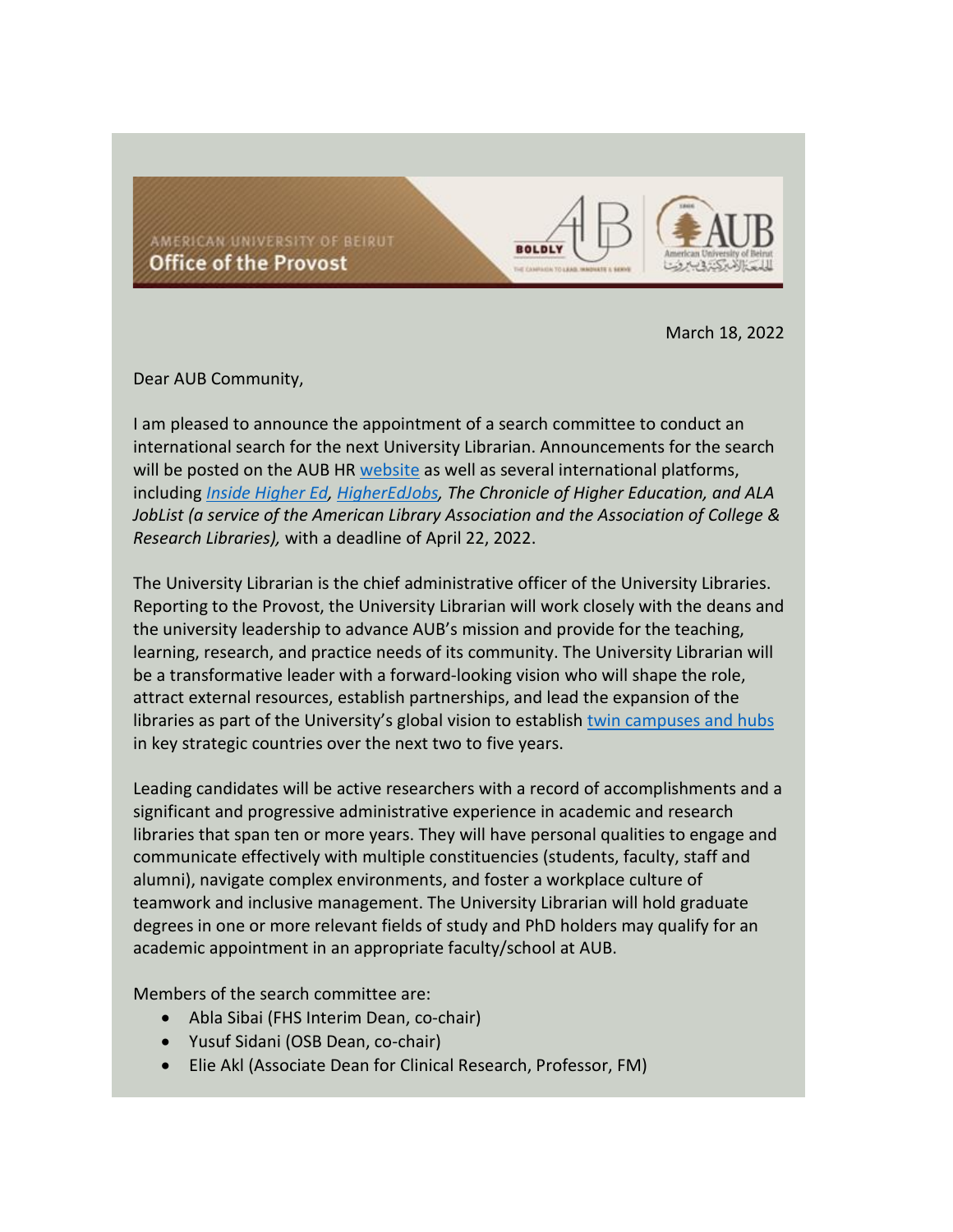AMERICAN UNIVERSITY OF BEIRUT Office of the Provost



March 18, 2022

Dear AUB Community,

I am pleased to announce the appointment of a search committee to conduct an international search for the next University Librarian. Announcements for the search will be posted on the AUB HR [website](https://www.aub.edu.lb/hr/Pages/listing_ac.aspx) as well as several international platforms, including *[Inside Higher Ed,](https://careers.insidehighered.com/job/2423211/university-librarian/) [HigherEdJobs,](https://www.higheredjobs.com/search/details.cfm?JobCode=177848056&Title=University%20Librarian) The Chronicle of Higher Education, and ALA JobList (a service of the American Library Association and the Association of College & Research Libraries),* with a deadline of April 22, 2022.

**BOLDL** 

The University Librarian is the chief administrative officer of the University Libraries. Reporting to the Provost, the University Librarian will work closely with the deans and the university leadership to advance AUB's mission and provide for the teaching, learning, research, and practice needs of its community. The University Librarian will be a transformative leader with a forward-looking vision who will shape the role, attract external resources, establish partnerships, and lead the expansion of the libraries as part of the University's global vision to establish [twin campuses and hubs](https://www.aub.edu.lb/President/Presidentsperspective/Pages/17December2021.aspx) in key strategic countries over the next two to five years.

Leading candidates will be active researchers with a record of accomplishments and a significant and progressive administrative experience in academic and research libraries that span ten or more years. They will have personal qualities to engage and communicate effectively with multiple constituencies (students, faculty, staff and alumni), navigate complex environments, and foster a workplace culture of teamwork and inclusive management. The University Librarian will hold graduate degrees in one or more relevant fields of study and PhD holders may qualify for an academic appointment in an appropriate faculty/school at AUB.

Members of the search committee are:

- Abla Sibai (FHS Interim Dean, co-chair)
- Yusuf Sidani (OSB Dean, co-chair)
- Elie Akl (Associate Dean for Clinical Research, Professor, FM)